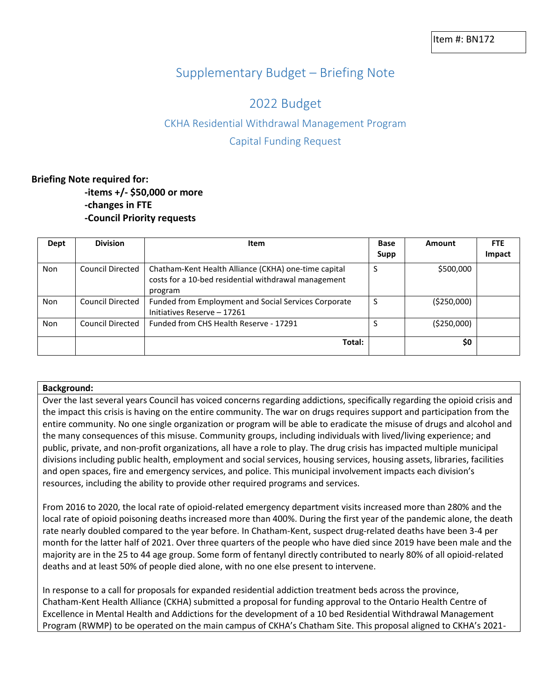# Supplementary Budget – Briefing Note

# 2022 Budget

# CKHA Residential Withdrawal Management Program

## Capital Funding Request

## **Briefing Note required for: -items +/- \$50,000 or more -changes in FTE -Council Priority requests**

| Dept       | <b>Division</b>         | Item                                                                                                                    | <b>Base</b><br>Supp | Amount       | <b>FTE</b><br>Impact |
|------------|-------------------------|-------------------------------------------------------------------------------------------------------------------------|---------------------|--------------|----------------------|
|            |                         |                                                                                                                         |                     |              |                      |
| <b>Non</b> | <b>Council Directed</b> | Chatham-Kent Health Alliance (CKHA) one-time capital<br>costs for a 10-bed residential withdrawal management<br>program | S                   | \$500,000    |                      |
| <b>Non</b> | <b>Council Directed</b> | Funded from Employment and Social Services Corporate<br>Initiatives Reserve - 17261                                     | S                   | ( \$250,000) |                      |
| Non        | <b>Council Directed</b> | Funded from CHS Health Reserve - 17291                                                                                  | S                   | ( \$250,000) |                      |
|            |                         | Total:                                                                                                                  |                     | \$0          |                      |

#### **Background:**

Over the last several years Council has voiced concerns regarding addictions, specifically regarding the opioid crisis and the impact this crisis is having on the entire community. The war on drugs requires support and participation from the entire community. No one single organization or program will be able to eradicate the misuse of drugs and alcohol and the many consequences of this misuse. Community groups, including individuals with lived/living experience; and public, private, and non-profit organizations, all have a role to play. The drug crisis has impacted multiple municipal divisions including public health, employment and social services, housing services, housing assets, libraries, facilities and open spaces, fire and emergency services, and police. This municipal involvement impacts each division's resources, including the ability to provide other required programs and services.

From 2016 to 2020, the local rate of opioid-related emergency department visits increased more than 280% and the local rate of opioid poisoning deaths increased more than 400%. During the first year of the pandemic alone, the death rate nearly doubled compared to the year before. In Chatham-Kent, suspect drug-related deaths have been 3-4 per month for the latter half of 2021. Over three quarters of the people who have died since 2019 have been male and the majority are in the 25 to 44 age group. Some form of fentanyl directly contributed to nearly 80% of all opioid-related deaths and at least 50% of people died alone, with no one else present to intervene.

In response to a call for proposals for expanded residential addiction treatment beds across the province, Chatham-Kent Health Alliance (CKHA) submitted a proposal for funding approval to the Ontario Health Centre of Excellence in Mental Health and Addictions for the development of a 10 bed Residential Withdrawal Management Program (RWMP) to be operated on the main campus of CKHA's Chatham Site. This proposal aligned to CKHA's 2021-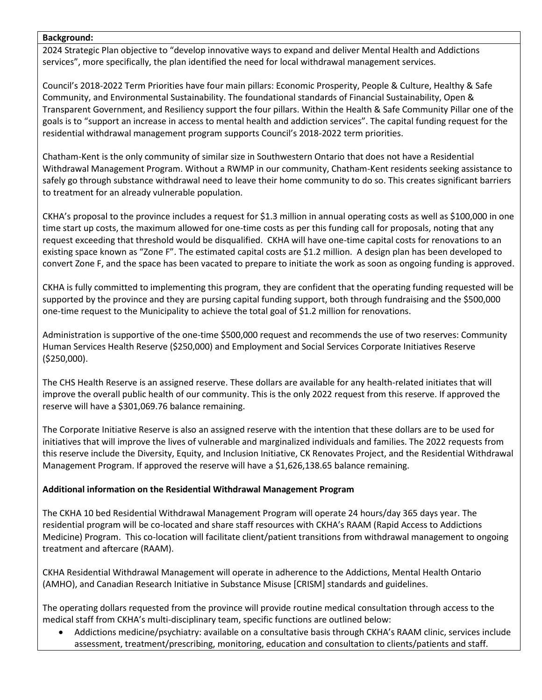#### **Background:**

2024 Strategic Plan objective to "develop innovative ways to expand and deliver Mental Health and Addictions services", more specifically, the plan identified the need for local withdrawal management services.

Council's 2018-2022 Term Priorities have four main pillars: Economic Prosperity, People & Culture, Healthy & Safe Community, and Environmental Sustainability. The foundational standards of Financial Sustainability, Open & Transparent Government, and Resiliency support the four pillars. Within the Health & Safe Community Pillar one of the goals is to "support an increase in access to mental health and addiction services". The capital funding request for the residential withdrawal management program supports Council's 2018-2022 term priorities.

Chatham-Kent is the only community of similar size in Southwestern Ontario that does not have a Residential Withdrawal Management Program. Without a RWMP in our community, Chatham-Kent residents seeking assistance to safely go through substance withdrawal need to leave their home community to do so. This creates significant barriers to treatment for an already vulnerable population.

CKHA's proposal to the province includes a request for \$1.3 million in annual operating costs as well as \$100,000 in one time start up costs, the maximum allowed for one-time costs as per this funding call for proposals, noting that any request exceeding that threshold would be disqualified. CKHA will have one-time capital costs for renovations to an existing space known as "Zone F". The estimated capital costs are \$1.2 million. A design plan has been developed to convert Zone F, and the space has been vacated to prepare to initiate the work as soon as ongoing funding is approved.

CKHA is fully committed to implementing this program, they are confident that the operating funding requested will be supported by the province and they are pursing capital funding support, both through fundraising and the \$500,000 one-time request to the Municipality to achieve the total goal of \$1.2 million for renovations.

Administration is supportive of the one-time \$500,000 request and recommends the use of two reserves: Community Human Services Health Reserve (\$250,000) and Employment and Social Services Corporate Initiatives Reserve (\$250,000).

The CHS Health Reserve is an assigned reserve. These dollars are available for any health-related initiates that will improve the overall public health of our community. This is the only 2022 request from this reserve. If approved the reserve will have a \$301,069.76 balance remaining.

The Corporate Initiative Reserve is also an assigned reserve with the intention that these dollars are to be used for initiatives that will improve the lives of vulnerable and marginalized individuals and families. The 2022 requests from this reserve include the Diversity, Equity, and Inclusion Initiative, CK Renovates Project, and the Residential Withdrawal Management Program. If approved the reserve will have a \$1,626,138.65 balance remaining.

### **Additional information on the Residential Withdrawal Management Program**

The CKHA 10 bed Residential Withdrawal Management Program will operate 24 hours/day 365 days year. The residential program will be co-located and share staff resources with CKHA's RAAM (Rapid Access to Addictions Medicine) Program. This co-location will facilitate client/patient transitions from withdrawal management to ongoing treatment and aftercare (RAAM).

CKHA Residential Withdrawal Management will operate in adherence to the Addictions, Mental Health Ontario (AMHO), and Canadian Research Initiative in Substance Misuse [CRISM] standards and guidelines.

The operating dollars requested from the province will provide routine medical consultation through access to the medical staff from CKHA's multi-disciplinary team, specific functions are outlined below:

• Addictions medicine/psychiatry: available on a consultative basis through CKHA's RAAM clinic, services include assessment, treatment/prescribing, monitoring, education and consultation to clients/patients and staff.